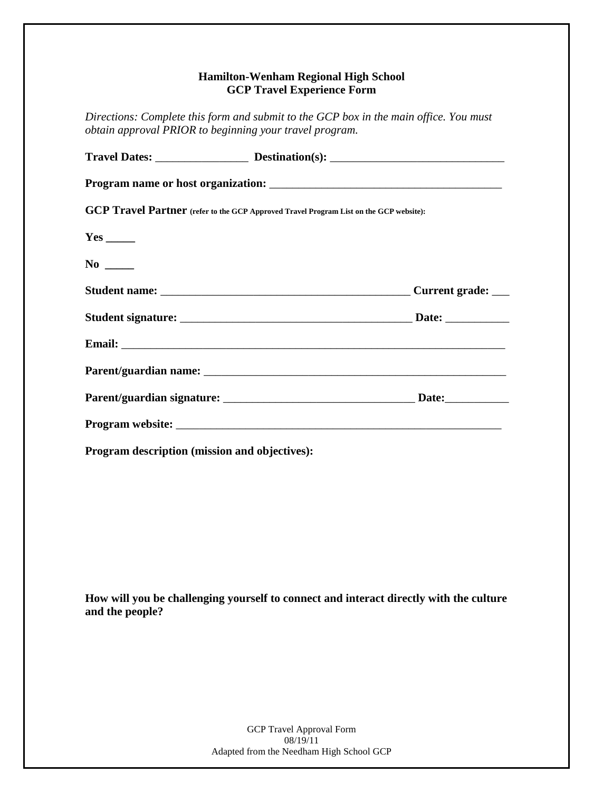## **Hamilton-Wenham Regional High School GCP Travel Experience Form**

*Directions: Complete this form and submit to the GCP box in the main office. You must obtain approval PRIOR to beginning your travel program.* 

|                                               | GCP Travel Partner (refer to the GCP Approved Travel Program List on the GCP website): |  |
|-----------------------------------------------|----------------------------------------------------------------------------------------|--|
|                                               |                                                                                        |  |
|                                               |                                                                                        |  |
|                                               |                                                                                        |  |
|                                               |                                                                                        |  |
|                                               |                                                                                        |  |
|                                               |                                                                                        |  |
|                                               |                                                                                        |  |
|                                               |                                                                                        |  |
| Program description (mission and objectives): |                                                                                        |  |

**How will you be challenging yourself to connect and interact directly with the culture and the people?**